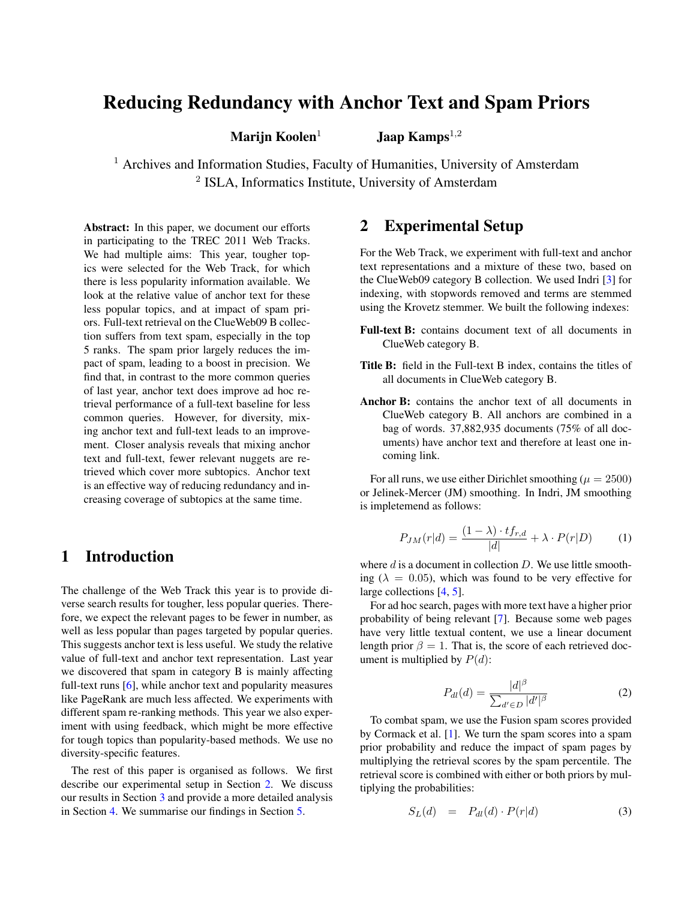# Reducing Redundancy with Anchor Text and Spam Priors

Marijn Koolen<sup>1</sup> Jaap Kamps<sup>1,2</sup>

<sup>1</sup> Archives and Information Studies, Faculty of Humanities, University of Amsterdam <sup>2</sup> ISLA, Informatics Institute, University of Amsterdam

Abstract: In this paper, we document our efforts in participating to the TREC 2011 Web Tracks. We had multiple aims: This year, tougher topics were selected for the Web Track, for which there is less popularity information available. We look at the relative value of anchor text for these less popular topics, and at impact of spam priors. Full-text retrieval on the ClueWeb09 B collection suffers from text spam, especially in the top 5 ranks. The spam prior largely reduces the impact of spam, leading to a boost in precision. We find that, in contrast to the more common queries of last year, anchor text does improve ad hoc retrieval performance of a full-text baseline for less common queries. However, for diversity, mixing anchor text and full-text leads to an improvement. Closer analysis reveals that mixing anchor text and full-text, fewer relevant nuggets are retrieved which cover more subtopics. Anchor text is an effective way of reducing redundancy and increasing coverage of subtopics at the same time.

# 1 Introduction

The challenge of the Web Track this year is to provide diverse search results for tougher, less popular queries. Therefore, we expect the relevant pages to be fewer in number, as well as less popular than pages targeted by popular queries. This suggests anchor text is less useful. We study the relative value of full-text and anchor text representation. Last year we discovered that spam in category B is mainly affecting full-text runs [\[6\]](#page-5-0), while anchor text and popularity measures like PageRank are much less affected. We experiments with different spam re-ranking methods. This year we also experiment with using feedback, which might be more effective for tough topics than popularity-based methods. We use no diversity-specific features.

The rest of this paper is organised as follows. We first describe our experimental setup in Section [2.](#page-0-0) We discuss our results in Section [3](#page-1-0) and provide a more detailed analysis in Section [4.](#page-2-0) We summarise our findings in Section [5.](#page-4-0)

# <span id="page-0-0"></span>2 Experimental Setup

For the Web Track, we experiment with full-text and anchor text representations and a mixture of these two, based on the ClueWeb09 category B collection. We used Indri [\[3\]](#page-5-1) for indexing, with stopwords removed and terms are stemmed using the Krovetz stemmer. We built the following indexes:

- Full-text B: contains document text of all documents in ClueWeb category B.
- Title B: field in the Full-text B index, contains the titles of all documents in ClueWeb category B.
- Anchor B: contains the anchor text of all documents in ClueWeb category B. All anchors are combined in a bag of words. 37,882,935 documents (75% of all documents) have anchor text and therefore at least one incoming link.

For all runs, we use either Dirichlet smoothing ( $\mu = 2500$ ) or Jelinek-Mercer (JM) smoothing. In Indri, JM smoothing is impletemend as follows:

$$
P_{JM}(r|d) = \frac{(1-\lambda) \cdot tf_{r,d}}{|d|} + \lambda \cdot P(r|D) \tag{1}
$$

where  $d$  is a document in collection  $D$ . We use little smoothing ( $\lambda = 0.05$ ), which was found to be very effective for large collections [\[4,](#page-5-2) [5\]](#page-5-3).

For ad hoc search, pages with more text have a higher prior probability of being relevant [\[7\]](#page-5-4). Because some web pages have very little textual content, we use a linear document length prior  $\beta = 1$ . That is, the score of each retrieved document is multiplied by  $P(d)$ :

$$
P_{dl}(d) = \frac{|d|^{\beta}}{\sum_{d' \in D} |d'|^{\beta}} \tag{2}
$$

To combat spam, we use the Fusion spam scores provided by Cormack et al. [\[1\]](#page-5-5). We turn the spam scores into a spam prior probability and reduce the impact of spam pages by multiplying the retrieval scores by the spam percentile. The retrieval score is combined with either or both priors by multiplying the probabilities:

$$
S_L(d) = P_{dl}(d) \cdot P(r|d) \tag{3}
$$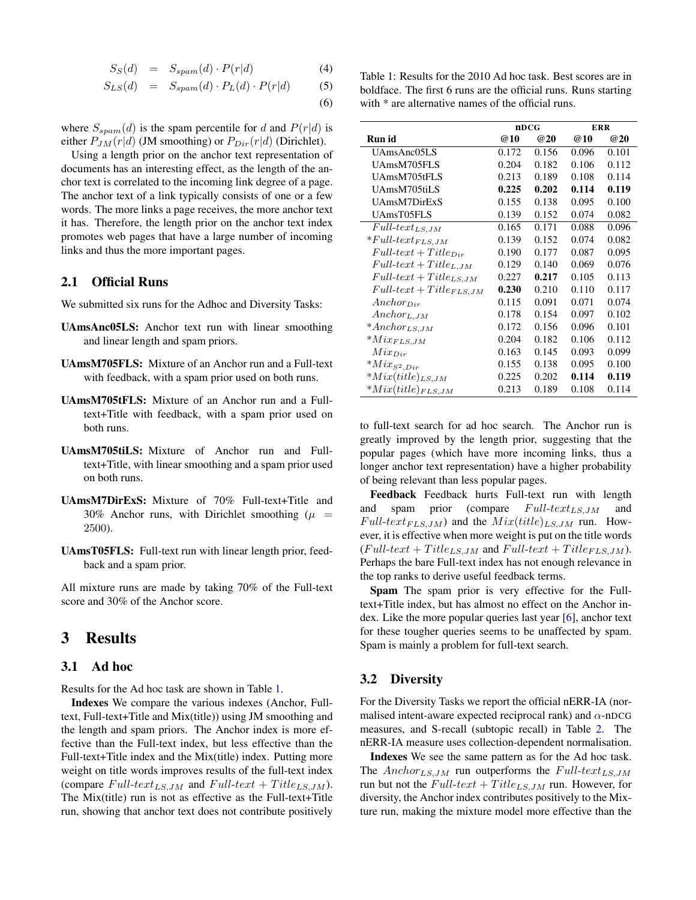$$
S_S(d) = S_{spam}(d) \cdot P(r|d)
$$
 (4)

$$
S_{LS}(d) = S_{spam}(d) \cdot P_L(d) \cdot P(r|d) \tag{5}
$$

(6)

where  $S_{spam}(d)$  is the spam percentile for d and  $P(r|d)$  is either  $P_{JM}(r|d)$  (JM smoothing) or  $P_{Dir}(r|d)$  (Dirichlet).

Using a length prior on the anchor text representation of documents has an interesting effect, as the length of the anchor text is correlated to the incoming link degree of a page. The anchor text of a link typically consists of one or a few words. The more links a page receives, the more anchor text it has. Therefore, the length prior on the anchor text index promotes web pages that have a large number of incoming links and thus the more important pages.

### 2.1 Official Runs

We submitted six runs for the Adhoc and Diversity Tasks:

- UAmsAnc05LS: Anchor text run with linear smoothing and linear length and spam priors.
- UAmsM705FLS: Mixture of an Anchor run and a Full-text with feedback, with a spam prior used on both runs.
- UAmsM705tFLS: Mixture of an Anchor run and a Fulltext+Title with feedback, with a spam prior used on both runs.
- UAmsM705tiLS: Mixture of Anchor run and Fulltext+Title, with linear smoothing and a spam prior used on both runs.
- UAmsM7DirExS: Mixture of 70% Full-text+Title and 30% Anchor runs, with Dirichlet smoothing ( $\mu$  = 2500).
- UAmsT05FLS: Full-text run with linear length prior, feedback and a spam prior.

All mixture runs are made by taking 70% of the Full-text score and 30% of the Anchor score.

# <span id="page-1-0"></span>3 Results

### 3.1 Ad hoc

Results for the Ad hoc task are shown in Table [1.](#page-1-1)

Indexes We compare the various indexes (Anchor, Fulltext, Full-text+Title and Mix(title)) using JM smoothing and the length and spam priors. The Anchor index is more effective than the Full-text index, but less effective than the Full-text+Title index and the Mix(title) index. Putting more weight on title words improves results of the full-text index (compare  $Full-text_{LS,JM}$  and  $Full-text + Title_{LS,JM}$ ). The Mix(title) run is not as effective as the Full-text+Title run, showing that anchor text does not contribute positively <span id="page-1-1"></span>Table 1: Results for the 2010 Ad hoc task. Best scores are in boldface. The first 6 runs are the official runs. Runs starting with  $*$  are alternative names of the official runs.

|                                   | nDCG  |            | <b>ERR</b> |       |
|-----------------------------------|-------|------------|------------|-------|
| Run id                            | @10   | <b>@20</b> | <b>@10</b> | @20   |
| UAmsAnc05LS                       | 0.172 | 0.156      | 0.096      | 0.101 |
| UAmsM705FLS                       | 0.204 | 0.182      | 0.106      | 0.112 |
| UAmsM705tFLS                      | 0.213 | 0.189      | 0.108      | 0.114 |
| UAmsM705tiLS                      | 0.225 | 0.202      | 0.114      | 0.119 |
| UAmsM7DirExS                      | 0.155 | 0.138      | 0.095      | 0.100 |
| UAmsT05FLS                        | 0.139 | 0.152      | 0.074      | 0.082 |
| $Full\text{-}text_{LS,JM}$        | 0.165 | 0.171      | 0.088      | 0.096 |
| $*Full-text_{FLS,JM}$             | 0.139 | 0.152      | 0.074      | 0.082 |
| $Full-text+Title_{Dir}$           | 0.190 | 0.177      | 0.087      | 0.095 |
| $Full\text{-}text + Title_{L,JM}$ | 0.129 | 0.140      | 0.069      | 0.076 |
| $Full-text + Title_{LS,JM}$       | 0.227 | 0.217      | 0.105      | 0.113 |
| $Full-text + Title_{FLS, JM}$     | 0.230 | 0.210      | 0.110      | 0.117 |
| $Another_{Dir}$                   | 0.115 | 0.091      | 0.071      | 0.074 |
| Anchor <sub>L,JM</sub>            | 0.178 | 0.154      | 0.097      | 0.102 |
| $*Another_{LS,JM}$                | 0.172 | 0.156      | 0.096      | 0.101 |
| $*Mix_{FLS,JM}$                   | 0.204 | 0.182      | 0.106      | 0.112 |
| $Mix_{Dir}$                       | 0.163 | 0.145      | 0.093      | 0.099 |
| $^{\ast }Mix_{S^{2},Dir}$         | 0.155 | 0.138      | 0.095      | 0.100 |
| $*Mix(title)_{LS,JM}$             | 0.225 | 0.202      | 0.114      | 0.119 |
| $*Mix(title)_{FLS, JM}$           | 0.213 | 0.189      | 0.108      | 0.114 |

to full-text search for ad hoc search. The Anchor run is greatly improved by the length prior, suggesting that the popular pages (which have more incoming links, thus a longer anchor text representation) have a higher probability of being relevant than less popular pages.

Feedback Feedback hurts Full-text run with length and spam prior (compare  $Full-text_{LS,JM}$  and  $Full-text_{FLS,JM}$ ) and the  $Mix(title)_{LS,JM}$  run. However, it is effective when more weight is put on the title words  $(Full-text + Title_{LS,JM}$  and  $Full-text + Title_{FLS,JM}$ . Perhaps the bare Full-text index has not enough relevance in the top ranks to derive useful feedback terms.

Spam The spam prior is very effective for the Fulltext+Title index, but has almost no effect on the Anchor index. Like the more popular queries last year [\[6\]](#page-5-0), anchor text for these tougher queries seems to be unaffected by spam. Spam is mainly a problem for full-text search.

### 3.2 Diversity

For the Diversity Tasks we report the official nERR-IA (normalised intent-aware expected reciprocal rank) and  $\alpha$ -nDCG measures, and S-recall (subtopic recall) in Table [2.](#page-2-1) The nERR-IA measure uses collection-dependent normalisation.

Indexes We see the same pattern as for the Ad hoc task. The  $Anchor_{LS,JM}$  run outperforms the  $Full-text_{LS,JM}$ run but not the  $Full-text + Title_{LS, JM}$  run. However, for diversity, the Anchor index contributes positively to the Mixture run, making the mixture model more effective than the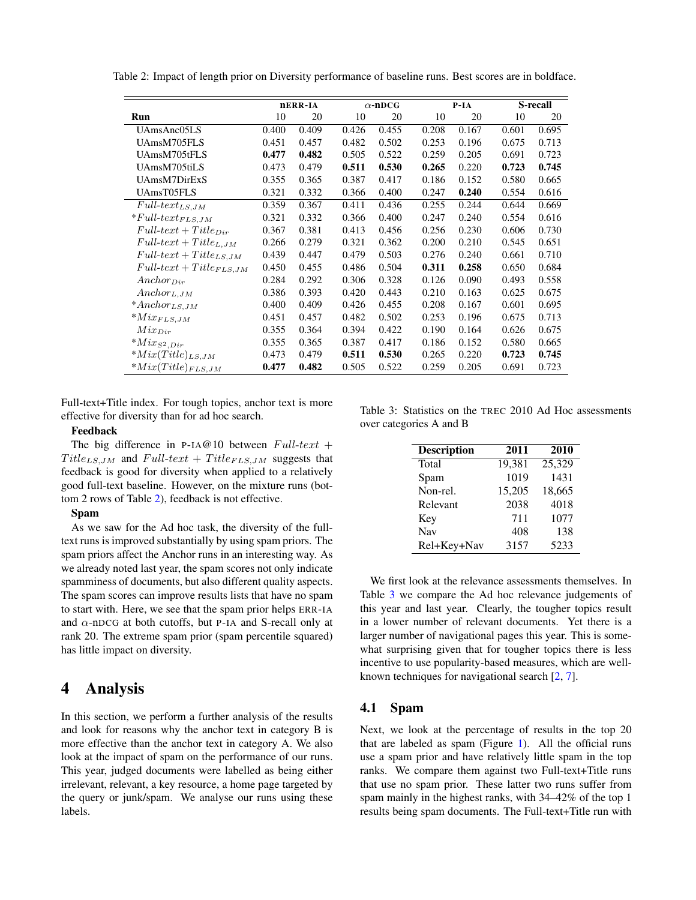<span id="page-2-1"></span>

|  |  |  |  | Table 2: Impact of length prior on Diversity performance of baseline runs. Best scores are in boldface. |  |  |  |
|--|--|--|--|---------------------------------------------------------------------------------------------------------|--|--|--|
|--|--|--|--|---------------------------------------------------------------------------------------------------------|--|--|--|

|                                   | nERR-IA |       | $\alpha$ -nDCG |       | $P-IA$ |       |       | S-recall |  |
|-----------------------------------|---------|-------|----------------|-------|--------|-------|-------|----------|--|
| Run                               | 10      | 20    | 10             | 20    | 10     | 20    | 10    | 20       |  |
| UAmsAnc05LS                       | 0.400   | 0.409 | 0.426          | 0.455 | 0.208  | 0.167 | 0.601 | 0.695    |  |
| UAmsM705FLS                       | 0.451   | 0.457 | 0.482          | 0.502 | 0.253  | 0.196 | 0.675 | 0.713    |  |
| UAmsM705tFLS                      | 0.477   | 0.482 | 0.505          | 0.522 | 0.259  | 0.205 | 0.691 | 0.723    |  |
| UAmsM705tiLS                      | 0.473   | 0.479 | 0.511          | 0.530 | 0.265  | 0.220 | 0.723 | 0.745    |  |
| UAmsM7DirExS                      | 0.355   | 0.365 | 0.387          | 0.417 | 0.186  | 0.152 | 0.580 | 0.665    |  |
| UAmsT05FLS                        | 0.321   | 0.332 | 0.366          | 0.400 | 0.247  | 0.240 | 0.554 | 0.616    |  |
| $Full \text{-}text_{LS,JM}$       | 0.359   | 0.367 | 0.411          | 0.436 | 0.255  | 0.244 | 0.644 | 0.669    |  |
| $*Full-text_{FLS, JM}$            | 0.321   | 0.332 | 0.366          | 0.400 | 0.247  | 0.240 | 0.554 | 0.616    |  |
| $Full-text+Title_{Dir}$           | 0.367   | 0.381 | 0.413          | 0.456 | 0.256  | 0.230 | 0.606 | 0.730    |  |
| $Full\text{-}text + Title_{L,JM}$ | 0.266   | 0.279 | 0.321          | 0.362 | 0.200  | 0.210 | 0.545 | 0.651    |  |
| $Full-text + Title_{LS,JM}$       | 0.439   | 0.447 | 0.479          | 0.503 | 0.276  | 0.240 | 0.661 | 0.710    |  |
| $Full-text + Title_{FLS, JM}$     | 0.450   | 0.455 | 0.486          | 0.504 | 0.311  | 0.258 | 0.650 | 0.684    |  |
| $Another_{Dir}$                   | 0.284   | 0.292 | 0.306          | 0.328 | 0.126  | 0.090 | 0.493 | 0.558    |  |
| Anchor <sub>L,JM</sub>            | 0.386   | 0.393 | 0.420          | 0.443 | 0.210  | 0.163 | 0.625 | 0.675    |  |
| $* An chor_{LS,JM}$               | 0.400   | 0.409 | 0.426          | 0.455 | 0.208  | 0.167 | 0.601 | 0.695    |  |
| $^*Mix_{FLS, JM}$                 | 0.451   | 0.457 | 0.482          | 0.502 | 0.253  | 0.196 | 0.675 | 0.713    |  |
| $Mix_{Dir}$                       | 0.355   | 0.364 | 0.394          | 0.422 | 0.190  | 0.164 | 0.626 | 0.675    |  |
| $^{\ast }Mix_{S^{2},Dir}$         | 0.355   | 0.365 | 0.387          | 0.417 | 0.186  | 0.152 | 0.580 | 0.665    |  |
| $*Mix(Title)_{LS,JM}$             | 0.473   | 0.479 | 0.511          | 0.530 | 0.265  | 0.220 | 0.723 | 0.745    |  |
| $*Mix(Title)_{FLS, JM}$           | 0.477   | 0.482 | 0.505          | 0.522 | 0.259  | 0.205 | 0.691 | 0.723    |  |

Full-text+Title index. For tough topics, anchor text is more effective for diversity than for ad hoc search.

#### Feedback

The big difference in P-IA@10 between  $Full-text +$  $Title_{LS,JM}$  and  $Full-text + Title_{FLS,JM}$  suggests that feedback is good for diversity when applied to a relatively good full-text baseline. However, on the mixture runs (bottom 2 rows of Table [2\)](#page-2-1), feedback is not effective.

#### Spam

As we saw for the Ad hoc task, the diversity of the fulltext runs is improved substantially by using spam priors. The spam priors affect the Anchor runs in an interesting way. As we already noted last year, the spam scores not only indicate spamminess of documents, but also different quality aspects. The spam scores can improve results lists that have no spam to start with. Here, we see that the spam prior helps ERR-IA and  $\alpha$ -nDCG at both cutoffs, but P-IA and S-recall only at rank 20. The extreme spam prior (spam percentile squared) has little impact on diversity.

### <span id="page-2-0"></span>4 Analysis

In this section, we perform a further analysis of the results and look for reasons why the anchor text in category B is more effective than the anchor text in category A. We also look at the impact of spam on the performance of our runs. This year, judged documents were labelled as being either irrelevant, relevant, a key resource, a home page targeted by the query or junk/spam. We analyse our runs using these labels.

Table 3: Statistics on the TREC 2010 Ad Hoc assessments over categories A and B

<span id="page-2-2"></span>

| <b>Description</b> | 2011   | 2010   |
|--------------------|--------|--------|
| Total              | 19,381 | 25,329 |
| Spam               | 1019   | 1431   |
| Non-rel.           | 15,205 | 18,665 |
| Relevant           | 2038   | 4018   |
| Key                | 711    | 1077   |
| <b>Nav</b>         | 408    | 138    |
| Rel+Key+Nav        | 3157   | 5233   |

We first look at the relevance assessments themselves. In Table [3](#page-2-2) we compare the Ad hoc relevance judgements of this year and last year. Clearly, the tougher topics result in a lower number of relevant documents. Yet there is a larger number of navigational pages this year. This is somewhat surprising given that for tougher topics there is less incentive to use popularity-based measures, which are wellknown techniques for navigational search [\[2,](#page-5-6) [7\]](#page-5-4).

### 4.1 Spam

Next, we look at the percentage of results in the top 20 that are labeled as spam (Figure [1\)](#page-3-0). All the official runs use a spam prior and have relatively little spam in the top ranks. We compare them against two Full-text+Title runs that use no spam prior. These latter two runs suffer from spam mainly in the highest ranks, with 34–42% of the top 1 results being spam documents. The Full-text+Title run with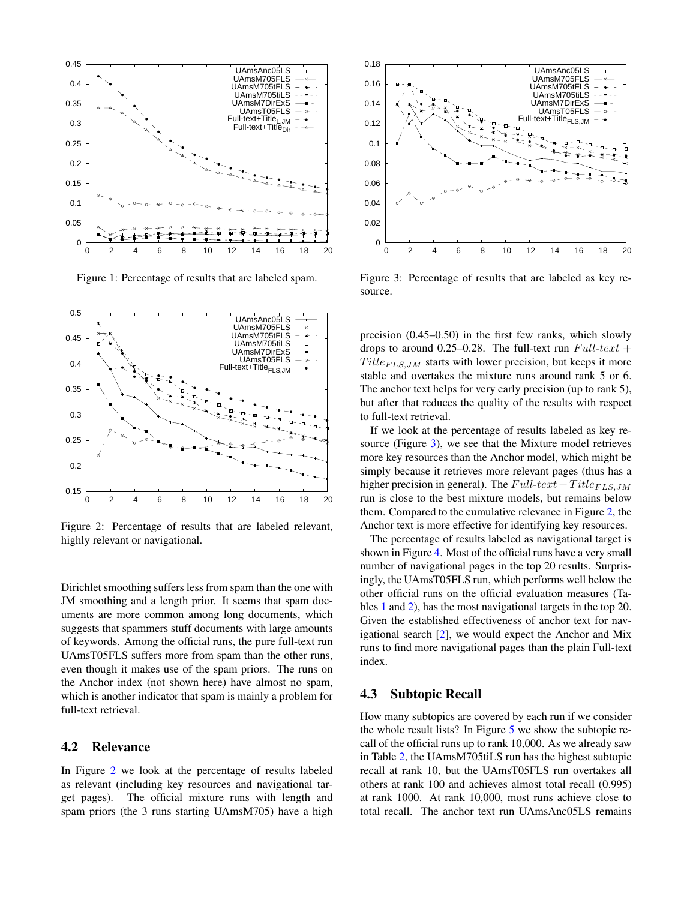

<span id="page-3-0"></span>Figure 1: Percentage of results that are labeled spam.



<span id="page-3-1"></span>Figure 2: Percentage of results that are labeled relevant, highly relevant or navigational.

Dirichlet smoothing suffers less from spam than the one with JM smoothing and a length prior. It seems that spam documents are more common among long documents, which suggests that spammers stuff documents with large amounts of keywords. Among the official runs, the pure full-text run UAmsT05FLS suffers more from spam than the other runs, even though it makes use of the spam priors. The runs on the Anchor index (not shown here) have almost no spam, which is another indicator that spam is mainly a problem for full-text retrieval.

### 4.2 Relevance

In Figure [2](#page-3-1) we look at the percentage of results labeled as relevant (including key resources and navigational target pages). The official mixture runs with length and spam priors (the 3 runs starting UAmsM705) have a high



<span id="page-3-2"></span>Figure 3: Percentage of results that are labeled as key resource.

precision (0.45–0.50) in the first few ranks, which slowly drops to around 0.25–0.28. The full-text run  $Full-text +$  $Title_{FLS,JM}$  starts with lower precision, but keeps it more stable and overtakes the mixture runs around rank 5 or 6. The anchor text helps for very early precision (up to rank 5), but after that reduces the quality of the results with respect to full-text retrieval.

If we look at the percentage of results labeled as key resource (Figure [3\)](#page-3-2), we see that the Mixture model retrieves more key resources than the Anchor model, which might be simply because it retrieves more relevant pages (thus has a higher precision in general). The  $Full-text+Title_{FLS,JM}$ run is close to the best mixture models, but remains below them. Compared to the cumulative relevance in Figure [2,](#page-3-1) the Anchor text is more effective for identifying key resources.

The percentage of results labeled as navigational target is shown in Figure [4.](#page-4-1) Most of the official runs have a very small number of navigational pages in the top 20 results. Surprisingly, the UAmsT05FLS run, which performs well below the other official runs on the official evaluation measures (Tables [1](#page-1-1) and [2\)](#page-2-1), has the most navigational targets in the top 20. Given the established effectiveness of anchor text for navigational search [\[2\]](#page-5-6), we would expect the Anchor and Mix runs to find more navigational pages than the plain Full-text index.

#### 4.3 Subtopic Recall

How many subtopics are covered by each run if we consider the whole result lists? In Figure [5](#page-4-2) we show the subtopic recall of the official runs up to rank 10,000. As we already saw in Table [2,](#page-2-1) the UAmsM705tiLS run has the highest subtopic recall at rank 10, but the UAmsT05FLS run overtakes all others at rank 100 and achieves almost total recall (0.995) at rank 1000. At rank 10,000, most runs achieve close to total recall. The anchor text run UAmsAnc05LS remains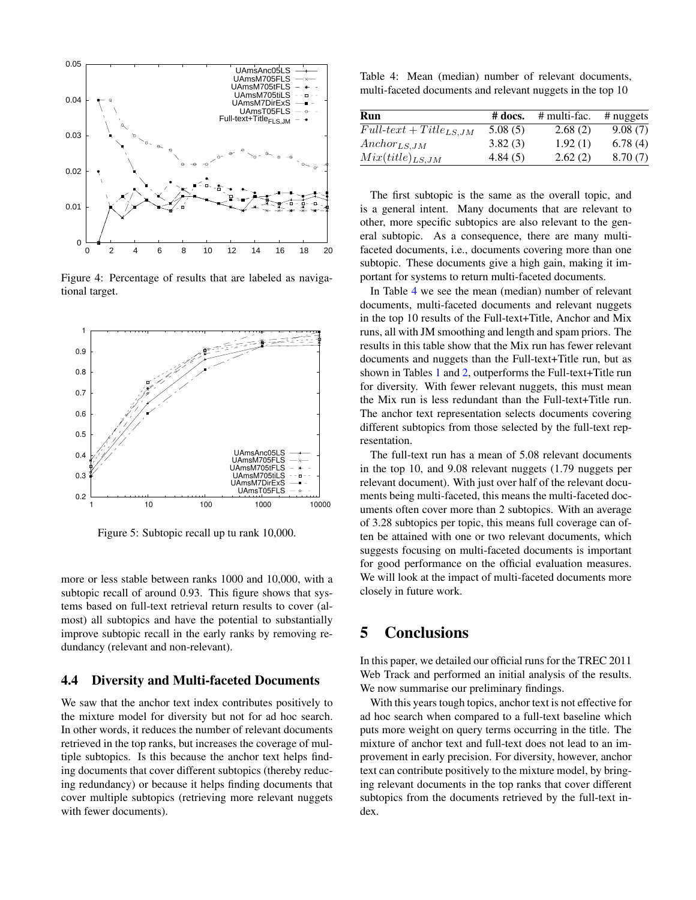

<span id="page-4-1"></span>Figure 4: Percentage of results that are labeled as navigational target.



<span id="page-4-2"></span>Figure 5: Subtopic recall up tu rank 10,000.

more or less stable between ranks 1000 and 10,000, with a subtopic recall of around 0.93. This figure shows that systems based on full-text retrieval return results to cover (almost) all subtopics and have the potential to substantially improve subtopic recall in the early ranks by removing redundancy (relevant and non-relevant).

#### 4.4 Diversity and Multi-faceted Documents

We saw that the anchor text index contributes positively to the mixture model for diversity but not for ad hoc search. In other words, it reduces the number of relevant documents retrieved in the top ranks, but increases the coverage of multiple subtopics. Is this because the anchor text helps finding documents that cover different subtopics (thereby reducing redundancy) or because it helps finding documents that cover multiple subtopics (retrieving more relevant nuggets with fewer documents).

<span id="page-4-3"></span>Table 4: Mean (median) number of relevant documents, multi-faceted documents and relevant nuggets in the top 10

| Run                         | $\#$ docs. | $#$ multi-fac. | $#$ nuggets |
|-----------------------------|------------|----------------|-------------|
| $Full-text + Title_{LS,JM}$ | 5.08(5)    | 2.68(2)        | 9.08(7)     |
| $Anchor_{LS,JM}$            | 3.82(3)    | 1.92(1)        | 6.78(4)     |
| $Mix(title)_{LS,JM}$        | 4.84(5)    | 2.62(2)        | 8.70(7)     |

The first subtopic is the same as the overall topic, and is a general intent. Many documents that are relevant to other, more specific subtopics are also relevant to the general subtopic. As a consequence, there are many multifaceted documents, i.e., documents covering more than one subtopic. These documents give a high gain, making it important for systems to return multi-faceted documents.

In Table [4](#page-4-3) we see the mean (median) number of relevant documents, multi-faceted documents and relevant nuggets in the top 10 results of the Full-text+Title, Anchor and Mix runs, all with JM smoothing and length and spam priors. The results in this table show that the Mix run has fewer relevant documents and nuggets than the Full-text+Title run, but as shown in Tables [1](#page-1-1) and [2,](#page-2-1) outperforms the Full-text+Title run for diversity. With fewer relevant nuggets, this must mean the Mix run is less redundant than the Full-text+Title run. The anchor text representation selects documents covering different subtopics from those selected by the full-text representation.

The full-text run has a mean of 5.08 relevant documents in the top 10, and 9.08 relevant nuggets (1.79 nuggets per relevant document). With just over half of the relevant documents being multi-faceted, this means the multi-faceted documents often cover more than 2 subtopics. With an average of 3.28 subtopics per topic, this means full coverage can often be attained with one or two relevant documents, which suggests focusing on multi-faceted documents is important for good performance on the official evaluation measures. We will look at the impact of multi-faceted documents more closely in future work.

# <span id="page-4-0"></span>5 Conclusions

In this paper, we detailed our official runs for the TREC 2011 Web Track and performed an initial analysis of the results. We now summarise our preliminary findings.

With this years tough topics, anchor text is not effective for ad hoc search when compared to a full-text baseline which puts more weight on query terms occurring in the title. The mixture of anchor text and full-text does not lead to an improvement in early precision. For diversity, however, anchor text can contribute positively to the mixture model, by bringing relevant documents in the top ranks that cover different subtopics from the documents retrieved by the full-text index.